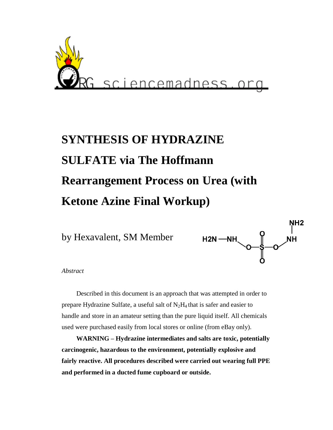

# **SYNTHESIS OF HYDRAZINE SULFATE via The Hoffmann Rearrangement Process on Urea (with Ketone Azine Final Workup)**

by Hexavalent, SM Member



*Abstract* 

Described in this document is an approach that was attempted in order to prepare Hydrazine Sulfate, a useful salt of  $N_2H_4$  that is safer and easier to handle and store in an amateur setting than the pure liquid itself. All chemicals used were purchased easily from local stores or online (from eBay only).

**WARNING – Hydrazine intermediates and salts are toxic, potentially carcinogenic, hazardous to the environment, potentially explosive and fairly reactive. All procedures described were carried out wearing full PPE and performed in a ducted fume cupboard or outside.**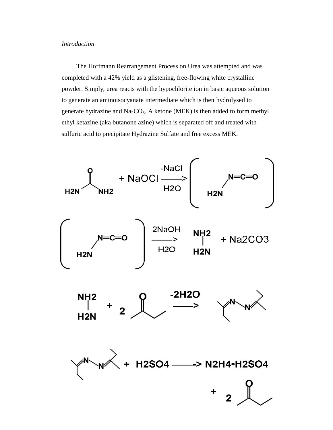## *Introduction*

The Hoffmann Rearrangement Process on Urea was attempted and was completed with a 42% yield as a glistening, free-flowing white crystalline powder. Simply, urea reacts with the hypochlorite ion in basic aqueous solution to generate an aminoisocyanate intermediate which is then hydrolysed to generate hydrazine and  $Na<sub>2</sub>CO<sub>3</sub>$ . A ketone (MEK) is then added to form methyl ethyl ketazine (aka butanone azine) which is separated off and treated with sulfuric acid to precipitate Hydrazine Sulfate and free excess MEK.

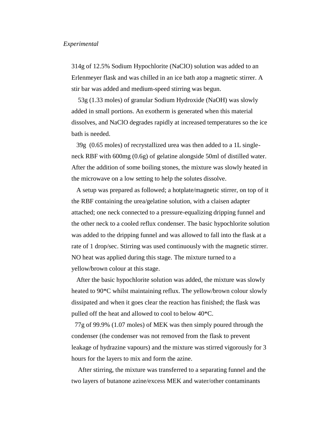#### *Experimental*

314g of 12.5% Sodium Hypochlorite (NaClO) solution was added to an Erlenmeyer flask and was chilled in an ice bath atop a magnetic stirrer. A stir bar was added and medium-speed stirring was begun.

53g (1.33 moles) of granular Sodium Hydroxide (NaOH) was slowly added in small portions. An exotherm is generated when this material dissolves, and NaClO degrades rapidly at increased temperatures so the ice bath is needed.

39g (0.65 moles) of recrystallized urea was then added to a 1L singleneck RBF with 600mg (0.6g) of gelatine alongside 50ml of distilled water. After the addition of some boiling stones, the mixture was slowly heated in the microwave on a low setting to help the solutes dissolve.

A setup was prepared as followed; a hotplate/magnetic stirrer, on top of it the RBF containing the urea/gelatine solution, with a claisen adapter attached; one neck connected to a pressure-equalizing dripping funnel and the other neck to a cooled reflux condenser. The basic hypochlorite solution was added to the dripping funnel and was allowed to fall into the flask at a rate of 1 drop/sec. Stirring was used continuously with the magnetic stirrer. NO heat was applied during this stage. The mixture turned to a yellow/brown colour at this stage.

After the basic hypochlorite solution was added, the mixture was slowly heated to 90\*C whilst maintaining reflux. The yellow/brown colour slowly dissipated and when it goes clear the reaction has finished; the flask was pulled off the heat and allowed to cool to below 40\*C.

77g of 99.9% (1.07 moles) of MEK was then simply poured through the condenser (the condenser was not removed from the flask to prevent leakage of hydrazine vapours) and the mixture was stirred vigorously for 3 hours for the layers to mix and form the azine.

After stirring, the mixture was transferred to a separating funnel and the two layers of butanone azine/excess MEK and water/other contaminants